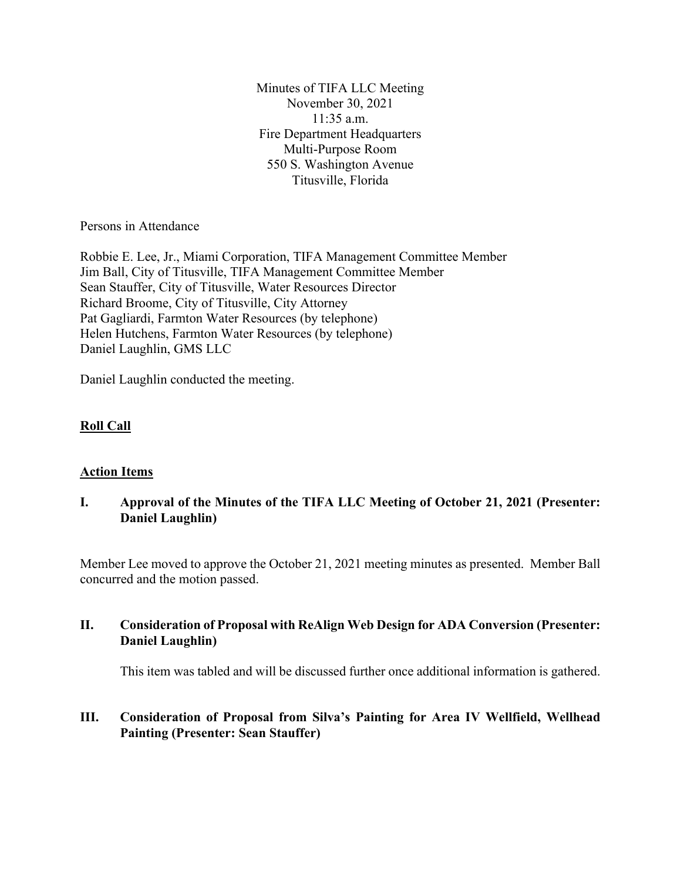Minutes of TIFA LLC Meeting November 30, 2021 11:35 a.m. Fire Department Headquarters Multi-Purpose Room 550 S. Washington Avenue Titusville, Florida

Persons in Attendance

Robbie E. Lee, Jr., Miami Corporation, TIFA Management Committee Member Jim Ball, City of Titusville, TIFA Management Committee Member Sean Stauffer, City of Titusville, Water Resources Director Richard Broome, City of Titusville, City Attorney Pat Gagliardi, Farmton Water Resources (by telephone) Helen Hutchens, Farmton Water Resources (by telephone) Daniel Laughlin, GMS LLC

Daniel Laughlin conducted the meeting.

### **Roll Call**

### **Action Items**

## **I. Approval of the Minutes of the TIFA LLC Meeting of October 21, 2021 (Presenter: Daniel Laughlin)**

Member Lee moved to approve the October 21, 2021 meeting minutes as presented. Member Ball concurred and the motion passed.

### **II. Consideration of Proposal with ReAlign Web Design for ADA Conversion (Presenter: Daniel Laughlin)**

This item was tabled and will be discussed further once additional information is gathered.

## **III. Consideration of Proposal from Silva's Painting for Area IV Wellfield, Wellhead Painting (Presenter: Sean Stauffer)**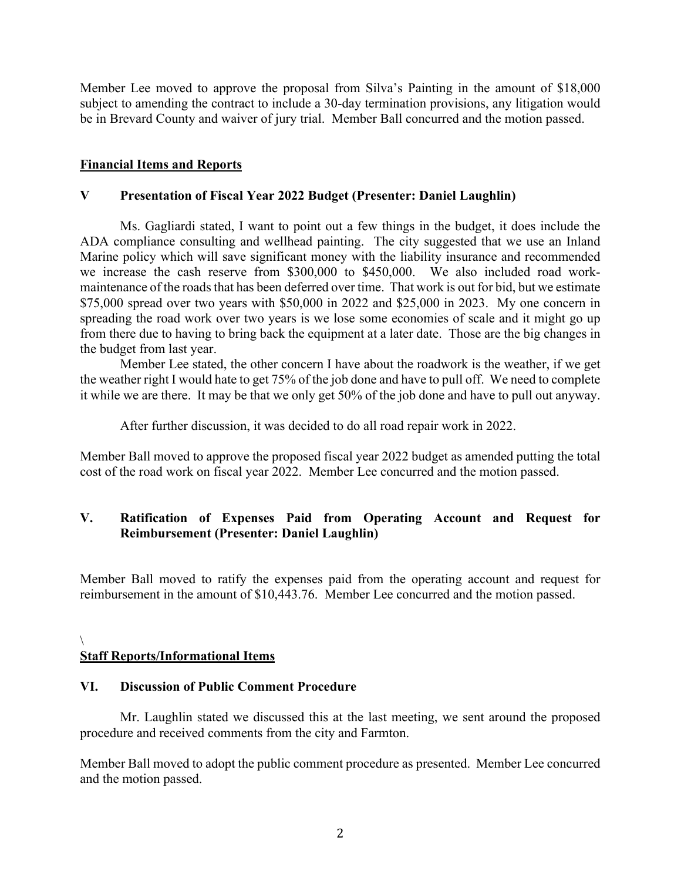Member Lee moved to approve the proposal from Silva's Painting in the amount of \$18,000 subject to amending the contract to include a 30-day termination provisions, any litigation would be in Brevard County and waiver of jury trial. Member Ball concurred and the motion passed.

### **Financial Items and Reports**

### **V Presentation of Fiscal Year 2022 Budget (Presenter: Daniel Laughlin)**

Ms. Gagliardi stated, I want to point out a few things in the budget, it does include the ADA compliance consulting and wellhead painting. The city suggested that we use an Inland Marine policy which will save significant money with the liability insurance and recommended we increase the cash reserve from \$300,000 to \$450,000. We also included road workmaintenance of the roads that has been deferred over time. That work is out for bid, but we estimate \$75,000 spread over two years with \$50,000 in 2022 and \$25,000 in 2023. My one concern in spreading the road work over two years is we lose some economies of scale and it might go up from there due to having to bring back the equipment at a later date. Those are the big changes in the budget from last year.

Member Lee stated, the other concern I have about the roadwork is the weather, if we get the weather right I would hate to get 75% of the job done and have to pull off. We need to complete it while we are there. It may be that we only get 50% of the job done and have to pull out anyway.

After further discussion, it was decided to do all road repair work in 2022.

Member Ball moved to approve the proposed fiscal year 2022 budget as amended putting the total cost of the road work on fiscal year 2022. Member Lee concurred and the motion passed.

## **V. Ratification of Expenses Paid from Operating Account and Request for Reimbursement (Presenter: Daniel Laughlin)**

Member Ball moved to ratify the expenses paid from the operating account and request for reimbursement in the amount of \$10,443.76. Member Lee concurred and the motion passed.

#### $\setminus$ **Staff Reports/Informational Items**

### **VI. Discussion of Public Comment Procedure**

Mr. Laughlin stated we discussed this at the last meeting, we sent around the proposed procedure and received comments from the city and Farmton.

Member Ball moved to adopt the public comment procedure as presented. Member Lee concurred and the motion passed.